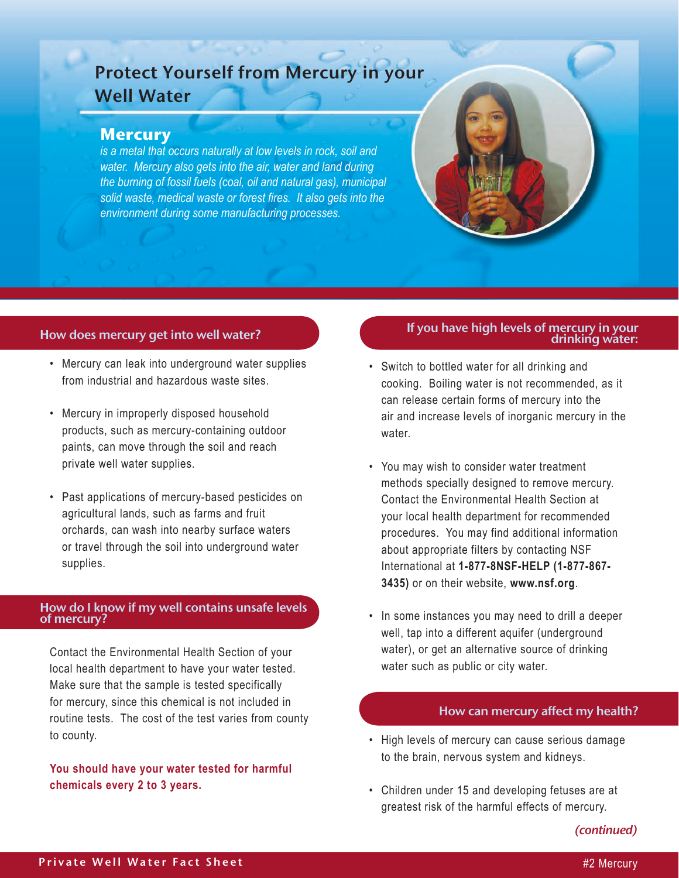# Protect Yourself from Mercury in your Well Water

# **Mercury**

*is a metal that occurs naturally at low levels in rock, soil and water. Mercury also gets into the air, water and land during the burning of fossil fuels (coal, oil and natural gas), municipal solid waste, medical waste or forest fires. It also gets into the environment during some manufacturing processes.* 

# How does mercury get into well water?

- Mercury can leak into underground water supplies from industrial and hazardous waste sites.
- Mercury in improperly disposed household products, such as mercury-containing outdoor paints, can move through the soil and reach private well water supplies.
- Past applications of mercury-based pesticides on agricultural lands, such as farms and fruit orchards, can wash into nearby surface waters or travel through the soil into underground water supplies.

#### How do I know if my well contains unsafe levels of mercury?

Contact the Environmental Health Section of your local health department to have your water tested. Make sure that the sample is tested specifically for mercury, since this chemical is not included in routine tests. The cost of the test varies from county to county.

# **You should have your water tested for harmful chemicals every 2 to 3 years.**

# If you have high levels of mercury in your drinking water:

- • Switch to bottled water for all drinking and cooking. Boiling water is not recommended, as it can release certain forms of mercury into the air and increase levels of inorganic mercury in the water.
- • You may wish to consider water treatment methods specially designed to remove mercury. Contact the Environmental Health Section at your local health department for recommended procedures. You may find additional information about appropriate filters by contacting NSF International at **1-877-8NSF-HELP (1-877-867- 3435)** or on their website, **www.nsf.org**.
- In some instances you may need to drill a deeper well, tap into a different aquifer (underground water), or get an alternative source of drinking water such as public or city water.

## How can mercury affect my health?

- High levels of mercury can cause serious damage to the brain, nervous system and kidneys.
- Children under 15 and developing fetuses are at greatest risk of the harmful effects of mercury.

*(continued)*